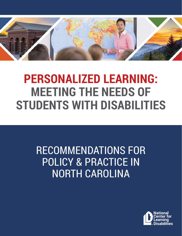

# **PERSONALIZED LEARNING: MEETING THE NEEDS OF STUDENTS WITH DISABILITIES**

## RECOMMENDATIONS FOR POLICY & PRACTICE IN NORTH CAROLINA

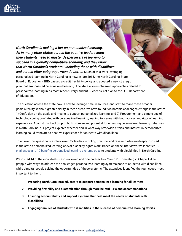

*North Carolina is making a bet on personalized learning. As in many other states across the country, leaders know their students need to master deeper levels of learning to succeed in a globally competitive economy, and they know that North Carolina's students—including those with disabilities and across other subgroups—can do better.* Much of this work leveraging personalized learning in North Carolina is new: In late 2015, the North Carolina State Board of Education (SBE) passed a credit flexibility policy and adopted a new strategic plan that emphasized personalized learning. The state also emphasized approaches related to personalized learning in its most recent Every Student Succeeds Act plan to the U.S. Department of Education.

The question across the state now is how to leverage time, resources, and staff to make these broader goals a reality. Without greater clarity in these areas, we have found two notable challenges emerge in the state: 1) Confusion on the goals and means to support personalized learning, and 2) Procurement and simple use of technology being conflated with personalized learning, leading to issues with both access and rigor of learning experiences. Against this backdrop of both promise and potential for emerging personalized learning initiatives in North Carolina, our project explored whether and in what way statewide efforts and interest in personalized learning could translate to positive experiences for students with disabilities.

To answer this question, we interviewed 27 leaders in policy, practice, and research who are deeply involved in the state's personalized learning and/or disability rights work. Based on these interviews, we identified  $10$ [challenges and 10 benefits personalized learning systems pose](mailto:http://www.ncld.org/wp-content/uploads/2017/03/10-Benefits-and-10-Challenges-for-SWDs-in-NC-PL-Efforts-2.pdf?subject=) to students with disabilities in North Carolina.

We invited 14 of the individuals we interviewed and one partner to a March 2017 meeting in Chapel Hill to grapple with ways to address the challenges personalized learning systems pose to students with disabilities, while simultaneously seizing the opportunities of these systems. The attendees identified the four issues most important to them:

- 1. **Preparing North Carolina's educators to support personalized learning for all learners**
- 2. **Providing flexibility and customization through more helpful IEPs and accommodations**
- 3. **Ensuring accountability and support systems that best meet the needs of students with disabilities**
- 4. **Engaging families of students with disabilities in the success of personalized learning efforts**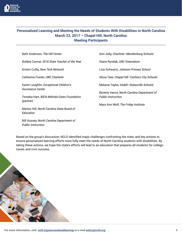

#### **Personalized Learning and Meeting the Needs of Students With Disabilities in North Carolina March 23, 2017 – Chapel Hill, North Carolina Meeting Participants**

| Beth Anderson, The Hill Center                              | Ann Jolly, Charlotte-Mecklenburg Schools                                 |
|-------------------------------------------------------------|--------------------------------------------------------------------------|
| Bobbie Cavnar, 2016 State Teacher of the Year               | Diane Ryndak, UNC Greensboro                                             |
| Kristin Cuilla, New Tech Network                            | Lisa Schwartz, Johnson Primary School                                    |
| Catherine Fowler, UNC Charlotte                             | Alicia Tate, Chapel Hill-Carrboro City Schools                           |
| Karen Laughlin, Exceptional Children's<br>Assistance Center | Melanie Taylor, Iredell-Statesville Schools                              |
| Tomeka Hart, Bill & Melinda Gates Foundation<br>(partner)   | Beverly Vance, North Carolina Department of<br><b>Public Instruction</b> |
| Martez Hill, North Carolina State Board of<br>Education     | Mary Ann Wolf, The Friday Institute                                      |
| Bill Hussey, North Carolina Department of                   |                                                                          |

Based on the group's discussion, NCLD identified major challenges confronting the state, and key actions to ensure personalized learning efforts more fully meet the needs of North Carolina students with disabilities. By taking these actions, we hope the state's efforts will lead to an education that prepares all students for college, career, and civic success.



*Public Instruction*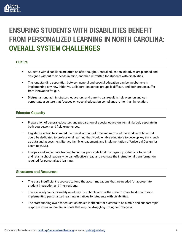

## **ENSURING STUDENTS WITH DISABILITIES BENEFIT FROM PERSONALIZED LEARNING IN NORTH CAROLINA: OVERALL SYSTEM CHALLENGES**

#### **Culture**

- Students with disabilities are often an afterthought. General education initiatives are planned and designed without their needs in mind, and then retrofitted for students with disabilities.
- The longstanding separation between general and special education can be an obstacle in implementing any new initiative. Collaboration across groups is difficult, and both groups suffer from innovation fatigue.
- Distrust among administrators, educators, and parents can result in risk-aversion and can perpetuate a culture that focuses on special education compliance rather than innovation.

#### **Educator Capacity**

- Preparation of general educators and preparation of special educators remain largely separate in both coursework and field experiences.
- Legislative action has limited the overall amount of time and narrowed the window of time that could be dedicated to professional learning that would enable educators to develop key skills such as data and assessment literacy, family engagement, and implementation of Universal Design for Learning (UDL).
- Low pay and inadequate training for school principals limit the capacity of districts to recruit and retain school leaders who can effectively lead and evaluate the instructional transformation required for personalized learning.

#### **Structures and Resources**

- There are insufficient resources to fund the accommodations that are needed for appropriate student instruction and interventions.
- There is no dynamic or widely used way for schools across the state to share best practices in implementing personalized learning initiatives for students with disabilities.
- The state funding cycle for education makes it difficult for districts to be nimble and support rapid response interventions for schools that may be struggling throughout the year.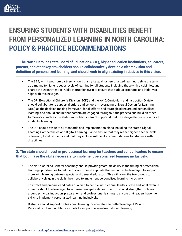

## **ENSURING STUDENTS WITH DISABILITIES BENEFIT FROM PERSONALIZED LEARNING IN NORTH CAROLINA: POLICY & PRACTICE RECOMMENDATIONS**

**1. The North Carolina State Board of Education (SBE), higher education institutions, educators, parents, and other key stakeholders should collaboratively develop a clearer vision and definition of personalized learning, and should work to align existing initiatives to this vision.**

- The SBE, with input from partners, should clarify its goal for personalized learning, define the term as a means to higher, deeper levels of learning for all students including those with disabilities, and charge the Department of Public Instruction (DPI) to ensure that various programs and initiatives align with this new goal.
- The DPI Exceptional Children's Division (ECD) and the K–12 Curriculum and Instruction Division should collaborate to support districts and schools in leveraging Universal Design for Learning (UDL) as the decision-making framework for all efforts and strategic plans around personalized learning, and should ensure that parents are engaged throughout the process and build on other frameworks (such as the state's multi-tier system of supports) that provide greater inclusion for all students' learning.
- The DPI should evaluate all standards and implementation plans including the state's Digital Learning Competencies and Digital Learning Plan to ensure that they reflect higher, deeper levels of learning for all students and that they include sufficient accommodations for students with disabilities.

#### **2. The state should invest in professional learning for teachers and school leaders to ensure that both have the skills necessary to implement personalized learning inclusively.**

- The North Carolina General Assembly should provide greater flexibility in the timing of professional learning opportunities for educators, and should stipulate that resources be leveraged to support more joint learning between special and general educators. This will allow the two groups to collaboratively gain the skills they need to implement personalized learning inclusively.
- To attract and prepare candidates qualified to be true instructional leaders, state and local revenue streams should be leveraged to increase principal salaries. The SBE should strengthen policies around principal induction, preparation, and professional learning to ensure that leaders have the skills to implement personalized learning inclusively.
- Districts should support professional learning for educators to better leverage IEPs and Personalized Learning Plans as tools to support personalized student learning.